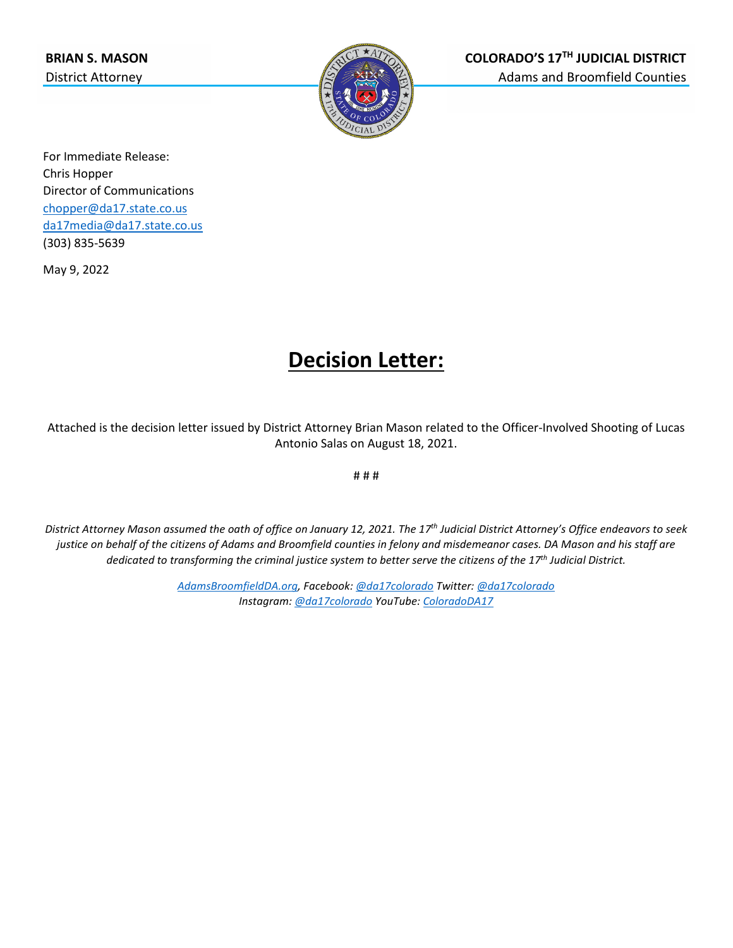

For Immediate Release: Chris Hopper Director of Communications [chopper@da17.state.co.us](mailto:chopper@da17.state.co.us) [da17media@da17.state.co.us](mailto:da17media@da17.state.co.us) (303) 835-5639

May 9, 2022

# **Decision Letter:**

Attached is the decision letter issued by District Attorney Brian Mason related to the Officer-Involved Shooting of Lucas Antonio Salas on August 18, 2021.

# # #

*District Attorney Mason assumed the oath of office on January 12, 2021. The 17th Judicial District Attorney's Office endeavors to seek justice on behalf of the citizens of Adams and Broomfield counties in felony and misdemeanor cases. DA Mason and his staff are dedicated to transforming the criminal justice system to better serve the citizens of the 17th Judicial District.*

> *[AdamsBroomfieldDA.org,](http://www.adamsbroomfieldda.org/) Facebook[: @da17colorado](https://www.facebook.com/da17colorado) Twitter[: @da17colorado](https://twitter.com/da17colorado) Instagram: [@da17colorado](https://www.instagram.com/da17colorado/) YouTube[: ColoradoDA17](https://www.youtube.com/channel/UCFBOnArLEfiBR9cy-L8SBzA)*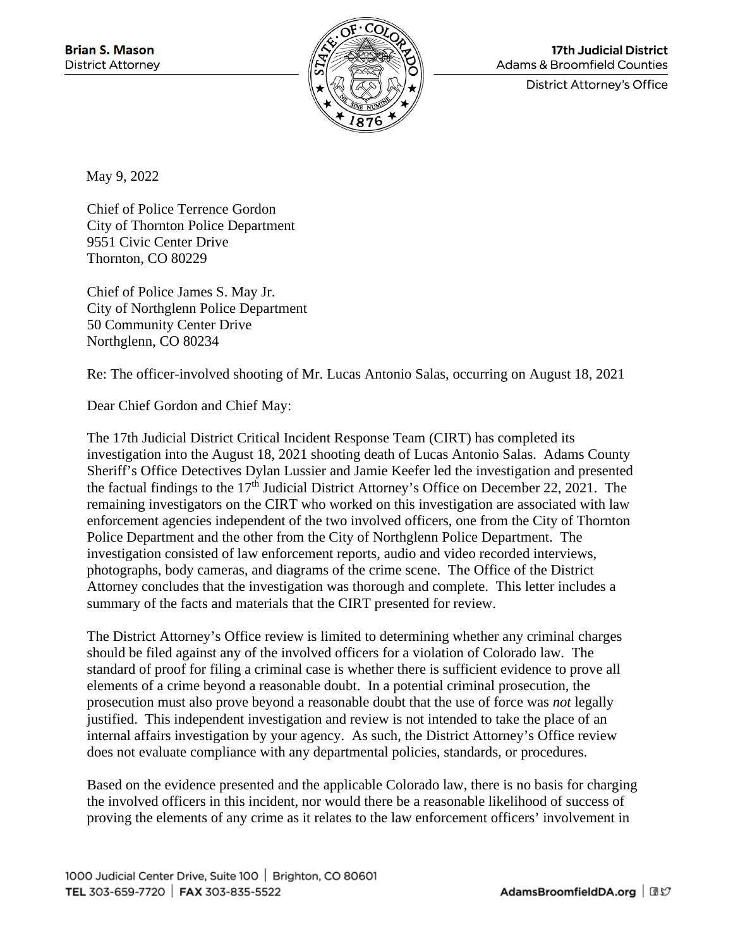

**17th Judicial District Adams & Broomfield Counties** 

**District Attorney's Office** 

May 9, 2022

Chief of Police Terrence Gordon City of Thornton Police Department 9551 Civic Center Drive Thornton, CO 80229

Chief of Police James S. May Jr. City of Northglenn Police Department 50 Community Center Drive Northglenn, CO 80234

Re: The officer-involved shooting of Mr. Lucas Antonio Salas, occurring on August 18, 2021

Dear Chief Gordon and Chief May:

The 17th Judicial District Critical Incident Response Team (CIRT) has completed its investigation into the August 18, 2021 shooting death of Lucas Antonio Salas. Adams County Sheriff's Office Detectives Dylan Lussier and Jamie Keefer led the investigation and presented the factual findings to the 17th Judicial District Attorney's Office on December 22, 2021. The remaining investigators on the CIRT who worked on this investigation are associated with law enforcement agencies independent of the two involved officers, one from the City of Thornton Police Department and the other from the City of Northglenn Police Department. The investigation consisted of law enforcement reports, audio and video recorded interviews, photographs, body cameras, and diagrams of the crime scene. The Office of the District Attorney concludes that the investigation was thorough and complete. This letter includes a summary of the facts and materials that the CIRT presented for review.

The District Attorney's Office review is limited to determining whether any criminal charges should be filed against any of the involved officers for a violation of Colorado law. The standard of proof for filing a criminal case is whether there is sufficient evidence to prove all elements of a crime beyond a reasonable doubt. In a potential criminal prosecution, the prosecution must also prove beyond a reasonable doubt that the use of force was *not* legally justified. This independent investigation and review is not intended to take the place of an internal affairs investigation by your agency. As such, the District Attorney's Office review does not evaluate compliance with any departmental policies, standards, or procedures.

Based on the evidence presented and the applicable Colorado law, there is no basis for charging the involved officers in this incident, nor would there be a reasonable likelihood of success of proving the elements of any crime as it relates to the law enforcement officers' involvement in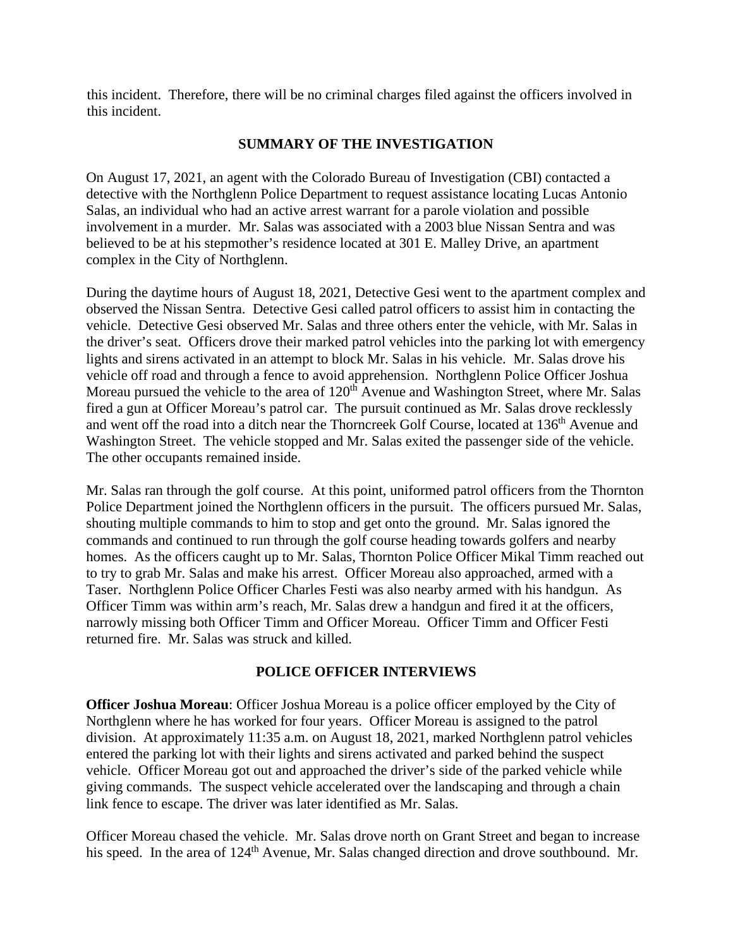this incident. Therefore, there will be no criminal charges filed against the officers involved in this incident.

# **SUMMARY OF THE INVESTIGATION**

On August 17, 2021, an agent with the Colorado Bureau of Investigation (CBI) contacted a detective with the Northglenn Police Department to request assistance locating Lucas Antonio Salas, an individual who had an active arrest warrant for a parole violation and possible involvement in a murder. Mr. Salas was associated with a 2003 blue Nissan Sentra and was believed to be at his stepmother's residence located at 301 E. Malley Drive, an apartment complex in the City of Northglenn.

During the daytime hours of August 18, 2021, Detective Gesi went to the apartment complex and observed the Nissan Sentra. Detective Gesi called patrol officers to assist him in contacting the vehicle. Detective Gesi observed Mr. Salas and three others enter the vehicle, with Mr. Salas in the driver's seat. Officers drove their marked patrol vehicles into the parking lot with emergency lights and sirens activated in an attempt to block Mr. Salas in his vehicle. Mr. Salas drove his vehicle off road and through a fence to avoid apprehension. Northglenn Police Officer Joshua Moreau pursued the vehicle to the area of 120<sup>th</sup> Avenue and Washington Street, where Mr. Salas fired a gun at Officer Moreau's patrol car. The pursuit continued as Mr. Salas drove recklessly and went off the road into a ditch near the Thorncreek Golf Course, located at 136<sup>th</sup> Avenue and Washington Street. The vehicle stopped and Mr. Salas exited the passenger side of the vehicle. The other occupants remained inside.

Mr. Salas ran through the golf course. At this point, uniformed patrol officers from the Thornton Police Department joined the Northglenn officers in the pursuit. The officers pursued Mr. Salas, shouting multiple commands to him to stop and get onto the ground. Mr. Salas ignored the commands and continued to run through the golf course heading towards golfers and nearby homes. As the officers caught up to Mr. Salas, Thornton Police Officer Mikal Timm reached out to try to grab Mr. Salas and make his arrest. Officer Moreau also approached, armed with a Taser. Northglenn Police Officer Charles Festi was also nearby armed with his handgun. As Officer Timm was within arm's reach, Mr. Salas drew a handgun and fired it at the officers, narrowly missing both Officer Timm and Officer Moreau. Officer Timm and Officer Festi returned fire. Mr. Salas was struck and killed.

# **POLICE OFFICER INTERVIEWS**

**Officer Joshua Moreau**: Officer Joshua Moreau is a police officer employed by the City of Northglenn where he has worked for four years. Officer Moreau is assigned to the patrol division. At approximately 11:35 a.m. on August 18, 2021, marked Northglenn patrol vehicles entered the parking lot with their lights and sirens activated and parked behind the suspect vehicle. Officer Moreau got out and approached the driver's side of the parked vehicle while giving commands. The suspect vehicle accelerated over the landscaping and through a chain link fence to escape. The driver was later identified as Mr. Salas.

Officer Moreau chased the vehicle. Mr. Salas drove north on Grant Street and began to increase his speed. In the area of 124<sup>th</sup> Avenue, Mr. Salas changed direction and drove southbound. Mr.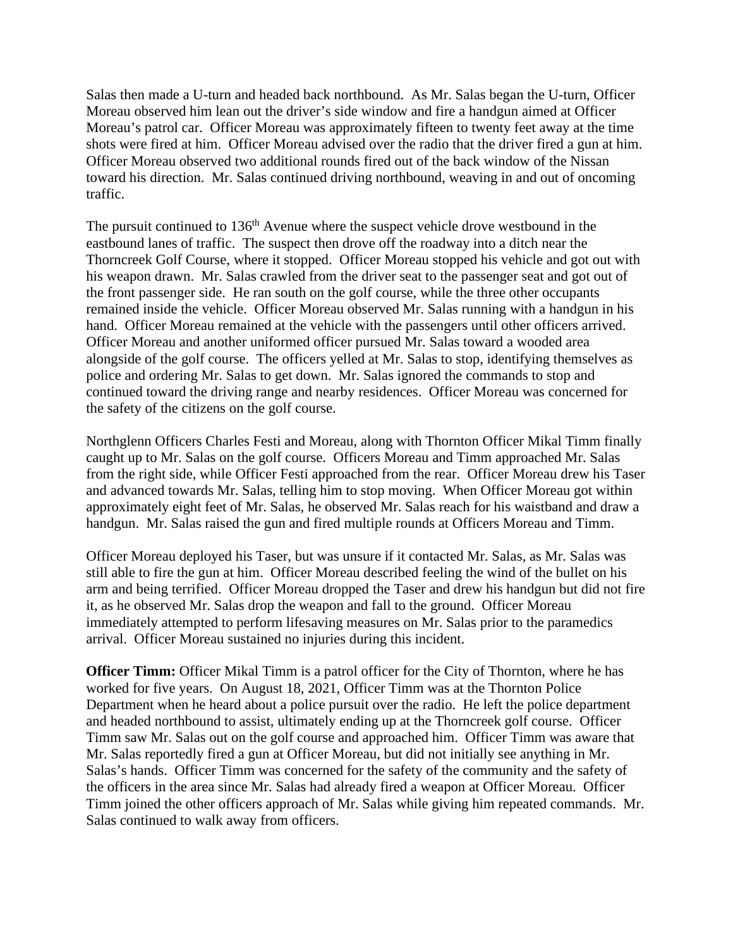Salas then made a U-turn and headed back northbound. As Mr. Salas began the U-turn, Officer Moreau observed him lean out the driver's side window and fire a handgun aimed at Officer Moreau's patrol car. Officer Moreau was approximately fifteen to twenty feet away at the time shots were fired at him. Officer Moreau advised over the radio that the driver fired a gun at him. Officer Moreau observed two additional rounds fired out of the back window of the Nissan toward his direction. Mr. Salas continued driving northbound, weaving in and out of oncoming traffic.

The pursuit continued to 136<sup>th</sup> Avenue where the suspect vehicle drove westbound in the eastbound lanes of traffic. The suspect then drove off the roadway into a ditch near the Thorncreek Golf Course, where it stopped. Officer Moreau stopped his vehicle and got out with his weapon drawn. Mr. Salas crawled from the driver seat to the passenger seat and got out of the front passenger side. He ran south on the golf course, while the three other occupants remained inside the vehicle. Officer Moreau observed Mr. Salas running with a handgun in his hand. Officer Moreau remained at the vehicle with the passengers until other officers arrived. Officer Moreau and another uniformed officer pursued Mr. Salas toward a wooded area alongside of the golf course. The officers yelled at Mr. Salas to stop, identifying themselves as police and ordering Mr. Salas to get down. Mr. Salas ignored the commands to stop and continued toward the driving range and nearby residences. Officer Moreau was concerned for the safety of the citizens on the golf course.

Northglenn Officers Charles Festi and Moreau, along with Thornton Officer Mikal Timm finally caught up to Mr. Salas on the golf course. Officers Moreau and Timm approached Mr. Salas from the right side, while Officer Festi approached from the rear. Officer Moreau drew his Taser and advanced towards Mr. Salas, telling him to stop moving. When Officer Moreau got within approximately eight feet of Mr. Salas, he observed Mr. Salas reach for his waistband and draw a handgun. Mr. Salas raised the gun and fired multiple rounds at Officers Moreau and Timm.

Officer Moreau deployed his Taser, but was unsure if it contacted Mr. Salas, as Mr. Salas was still able to fire the gun at him. Officer Moreau described feeling the wind of the bullet on his arm and being terrified. Officer Moreau dropped the Taser and drew his handgun but did not fire it, as he observed Mr. Salas drop the weapon and fall to the ground. Officer Moreau immediately attempted to perform lifesaving measures on Mr. Salas prior to the paramedics arrival. Officer Moreau sustained no injuries during this incident.

**Officer Timm:** Officer Mikal Timm is a patrol officer for the City of Thornton, where he has worked for five years. On August 18, 2021, Officer Timm was at the Thornton Police Department when he heard about a police pursuit over the radio. He left the police department and headed northbound to assist, ultimately ending up at the Thorncreek golf course. Officer Timm saw Mr. Salas out on the golf course and approached him. Officer Timm was aware that Mr. Salas reportedly fired a gun at Officer Moreau, but did not initially see anything in Mr. Salas's hands. Officer Timm was concerned for the safety of the community and the safety of the officers in the area since Mr. Salas had already fired a weapon at Officer Moreau. Officer Timm joined the other officers approach of Mr. Salas while giving him repeated commands. Mr. Salas continued to walk away from officers.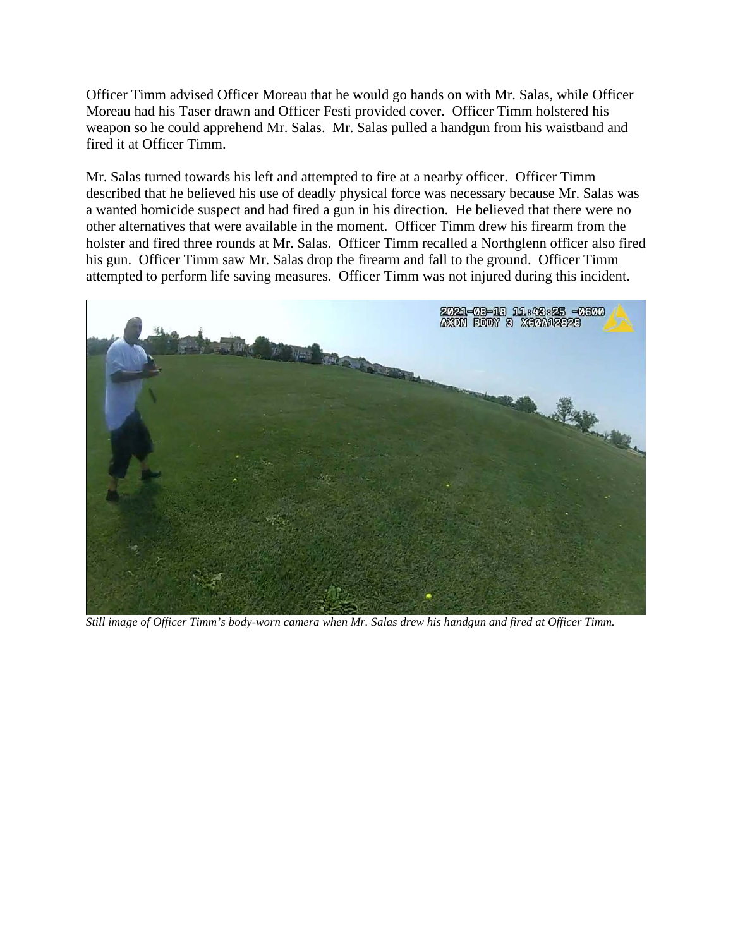Officer Timm advised Officer Moreau that he would go hands on with Mr. Salas, while Officer Moreau had his Taser drawn and Officer Festi provided cover. Officer Timm holstered his weapon so he could apprehend Mr. Salas. Mr. Salas pulled a handgun from his waistband and fired it at Officer Timm.

Mr. Salas turned towards his left and attempted to fire at a nearby officer. Officer Timm described that he believed his use of deadly physical force was necessary because Mr. Salas was a wanted homicide suspect and had fired a gun in his direction. He believed that there were no other alternatives that were available in the moment. Officer Timm drew his firearm from the holster and fired three rounds at Mr. Salas. Officer Timm recalled a Northglenn officer also fired his gun. Officer Timm saw Mr. Salas drop the firearm and fall to the ground. Officer Timm attempted to perform life saving measures. Officer Timm was not injured during this incident.



*Still image of Officer Timm's body-worn camera when Mr. Salas drew his handgun and fired at Officer Timm.*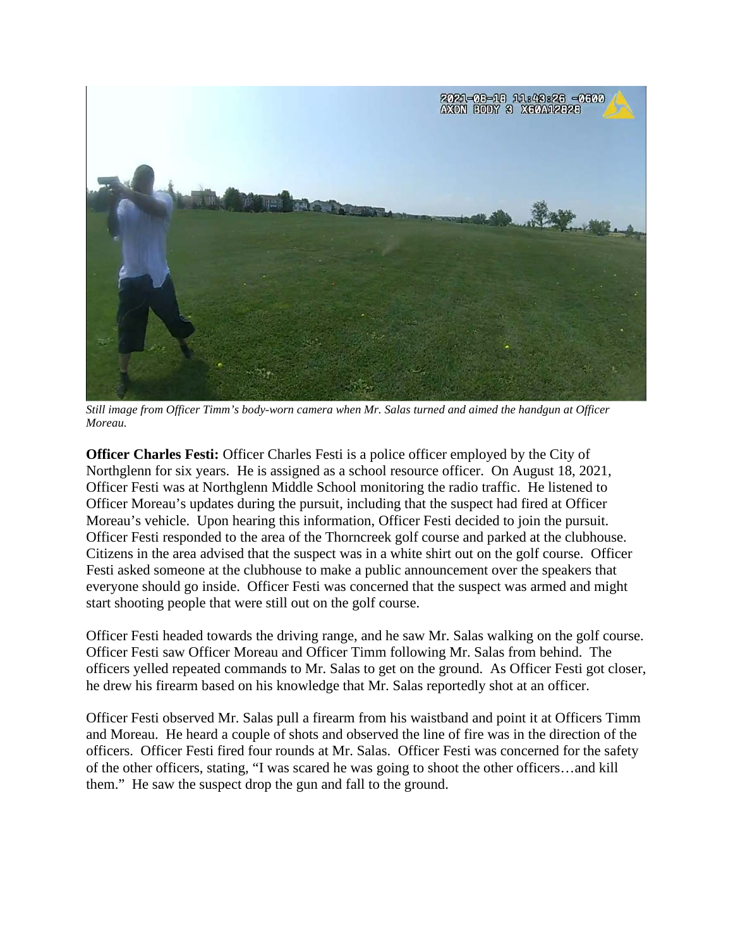

*Still image from Officer Timm's body-worn camera when Mr. Salas turned and aimed the handgun at Officer Moreau.*

**Officer Charles Festi:** Officer Charles Festi is a police officer employed by the City of Northglenn for six years. He is assigned as a school resource officer. On August 18, 2021, Officer Festi was at Northglenn Middle School monitoring the radio traffic. He listened to Officer Moreau's updates during the pursuit, including that the suspect had fired at Officer Moreau's vehicle. Upon hearing this information, Officer Festi decided to join the pursuit. Officer Festi responded to the area of the Thorncreek golf course and parked at the clubhouse. Citizens in the area advised that the suspect was in a white shirt out on the golf course. Officer Festi asked someone at the clubhouse to make a public announcement over the speakers that everyone should go inside. Officer Festi was concerned that the suspect was armed and might start shooting people that were still out on the golf course.

Officer Festi headed towards the driving range, and he saw Mr. Salas walking on the golf course. Officer Festi saw Officer Moreau and Officer Timm following Mr. Salas from behind. The officers yelled repeated commands to Mr. Salas to get on the ground. As Officer Festi got closer, he drew his firearm based on his knowledge that Mr. Salas reportedly shot at an officer.

Officer Festi observed Mr. Salas pull a firearm from his waistband and point it at Officers Timm and Moreau. He heard a couple of shots and observed the line of fire was in the direction of the officers. Officer Festi fired four rounds at Mr. Salas. Officer Festi was concerned for the safety of the other officers, stating, "I was scared he was going to shoot the other officers…and kill them." He saw the suspect drop the gun and fall to the ground.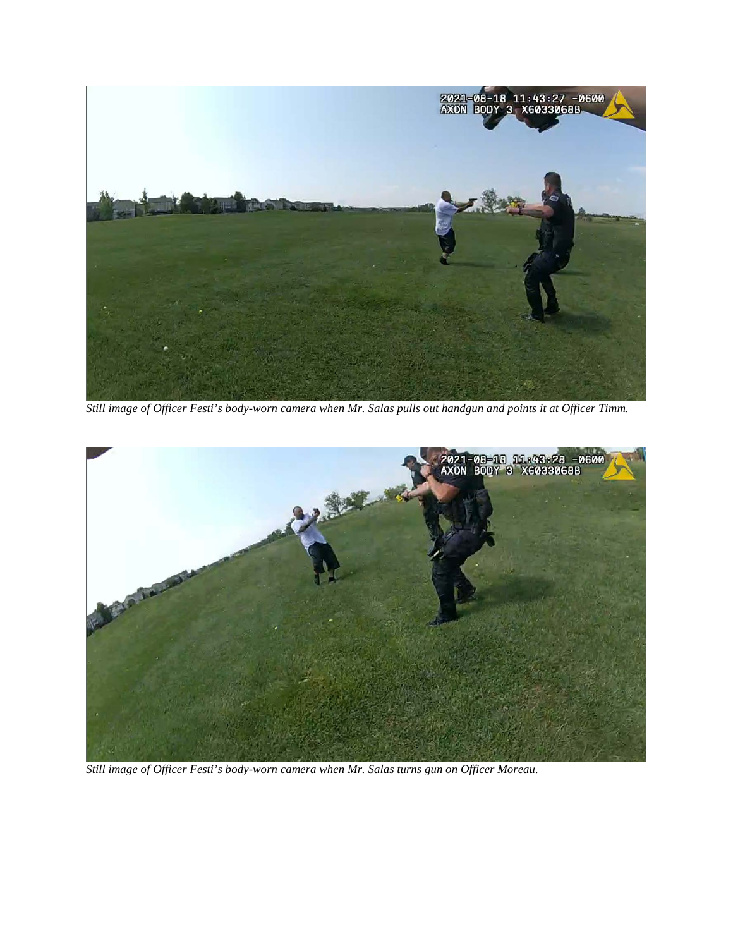

*Still image of Officer Festi's body-worn camera when Mr. Salas pulls out handgun and points it at Officer Timm.*



*Still image of Officer Festi's body-worn camera when Mr. Salas turns gun on Officer Moreau.*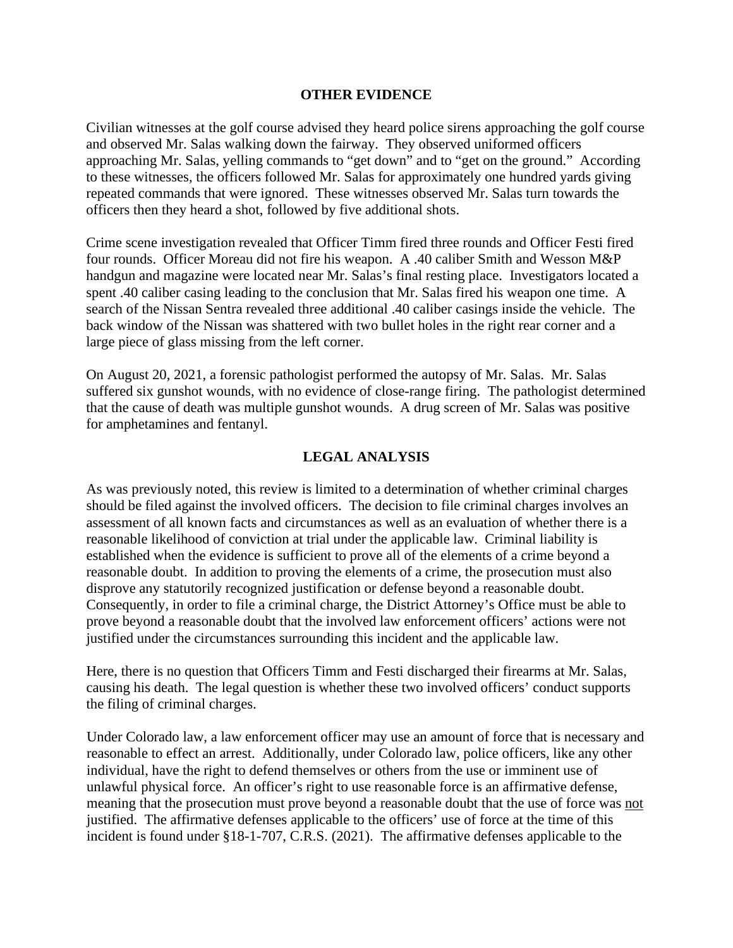#### **OTHER EVIDENCE**

Civilian witnesses at the golf course advised they heard police sirens approaching the golf course and observed Mr. Salas walking down the fairway. They observed uniformed officers approaching Mr. Salas, yelling commands to "get down" and to "get on the ground." According to these witnesses, the officers followed Mr. Salas for approximately one hundred yards giving repeated commands that were ignored. These witnesses observed Mr. Salas turn towards the officers then they heard a shot, followed by five additional shots.

Crime scene investigation revealed that Officer Timm fired three rounds and Officer Festi fired four rounds. Officer Moreau did not fire his weapon. A .40 caliber Smith and Wesson M&P handgun and magazine were located near Mr. Salas's final resting place. Investigators located a spent .40 caliber casing leading to the conclusion that Mr. Salas fired his weapon one time. A search of the Nissan Sentra revealed three additional .40 caliber casings inside the vehicle. The back window of the Nissan was shattered with two bullet holes in the right rear corner and a large piece of glass missing from the left corner.

On August 20, 2021, a forensic pathologist performed the autopsy of Mr. Salas. Mr. Salas suffered six gunshot wounds, with no evidence of close-range firing. The pathologist determined that the cause of death was multiple gunshot wounds. A drug screen of Mr. Salas was positive for amphetamines and fentanyl.

### **LEGAL ANALYSIS**

As was previously noted, this review is limited to a determination of whether criminal charges should be filed against the involved officers. The decision to file criminal charges involves an assessment of all known facts and circumstances as well as an evaluation of whether there is a reasonable likelihood of conviction at trial under the applicable law. Criminal liability is established when the evidence is sufficient to prove all of the elements of a crime beyond a reasonable doubt. In addition to proving the elements of a crime, the prosecution must also disprove any statutorily recognized justification or defense beyond a reasonable doubt. Consequently, in order to file a criminal charge, the District Attorney's Office must be able to prove beyond a reasonable doubt that the involved law enforcement officers' actions were not justified under the circumstances surrounding this incident and the applicable law.

Here, there is no question that Officers Timm and Festi discharged their firearms at Mr. Salas, causing his death. The legal question is whether these two involved officers' conduct supports the filing of criminal charges.

Under Colorado law, a law enforcement officer may use an amount of force that is necessary and reasonable to effect an arrest. Additionally, under Colorado law, police officers, like any other individual, have the right to defend themselves or others from the use or imminent use of unlawful physical force. An officer's right to use reasonable force is an affirmative defense, meaning that the prosecution must prove beyond a reasonable doubt that the use of force was not justified. The affirmative defenses applicable to the officers' use of force at the time of this incident is found under §18-1-707, C.R.S. (2021). The affirmative defenses applicable to the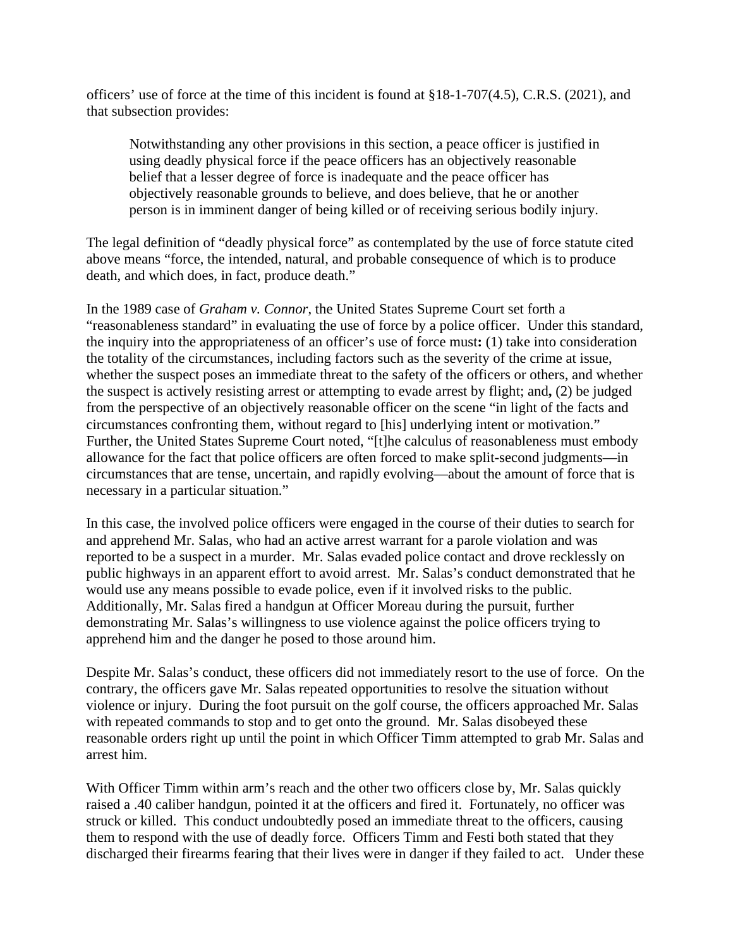officers' use of force at the time of this incident is found at  $\S 18$ -1-707(4.5), C.R.S. (2021), and that subsection provides:

Notwithstanding any other provisions in this section, a peace officer is justified in using deadly physical force if the peace officers has an objectively reasonable belief that a lesser degree of force is inadequate and the peace officer has objectively reasonable grounds to believe, and does believe, that he or another person is in imminent danger of being killed or of receiving serious bodily injury.

The legal definition of "deadly physical force" as contemplated by the use of force statute cited above means "force, the intended, natural, and probable consequence of which is to produce death, and which does, in fact, produce death."

In the 1989 case of *Graham v. Connor*, the United States Supreme Court set forth a "reasonableness standard" in evaluating the use of force by a police officer. Under this standard, the inquiry into the appropriateness of an officer's use of force must**:** (1) take into consideration the totality of the circumstances, including factors such as the severity of the crime at issue, whether the suspect poses an immediate threat to the safety of the officers or others, and whether the suspect is actively resisting arrest or attempting to evade arrest by flight; and**,** (2) be judged from the perspective of an objectively reasonable officer on the scene "in light of the facts and circumstances confronting them, without regard to [his] underlying intent or motivation." Further, the United States Supreme Court noted, "[t]he calculus of reasonableness must embody allowance for the fact that police officers are often forced to make split-second judgments—in circumstances that are tense, uncertain, and rapidly evolving—about the amount of force that is necessary in a particular situation."

In this case, the involved police officers were engaged in the course of their duties to search for and apprehend Mr. Salas, who had an active arrest warrant for a parole violation and was reported to be a suspect in a murder. Mr. Salas evaded police contact and drove recklessly on public highways in an apparent effort to avoid arrest. Mr. Salas's conduct demonstrated that he would use any means possible to evade police, even if it involved risks to the public. Additionally, Mr. Salas fired a handgun at Officer Moreau during the pursuit, further demonstrating Mr. Salas's willingness to use violence against the police officers trying to apprehend him and the danger he posed to those around him.

Despite Mr. Salas's conduct, these officers did not immediately resort to the use of force. On the contrary, the officers gave Mr. Salas repeated opportunities to resolve the situation without violence or injury. During the foot pursuit on the golf course, the officers approached Mr. Salas with repeated commands to stop and to get onto the ground. Mr. Salas disobeyed these reasonable orders right up until the point in which Officer Timm attempted to grab Mr. Salas and arrest him.

With Officer Timm within arm's reach and the other two officers close by, Mr. Salas quickly raised a .40 caliber handgun, pointed it at the officers and fired it. Fortunately, no officer was struck or killed. This conduct undoubtedly posed an immediate threat to the officers, causing them to respond with the use of deadly force. Officers Timm and Festi both stated that they discharged their firearms fearing that their lives were in danger if they failed to act. Under these